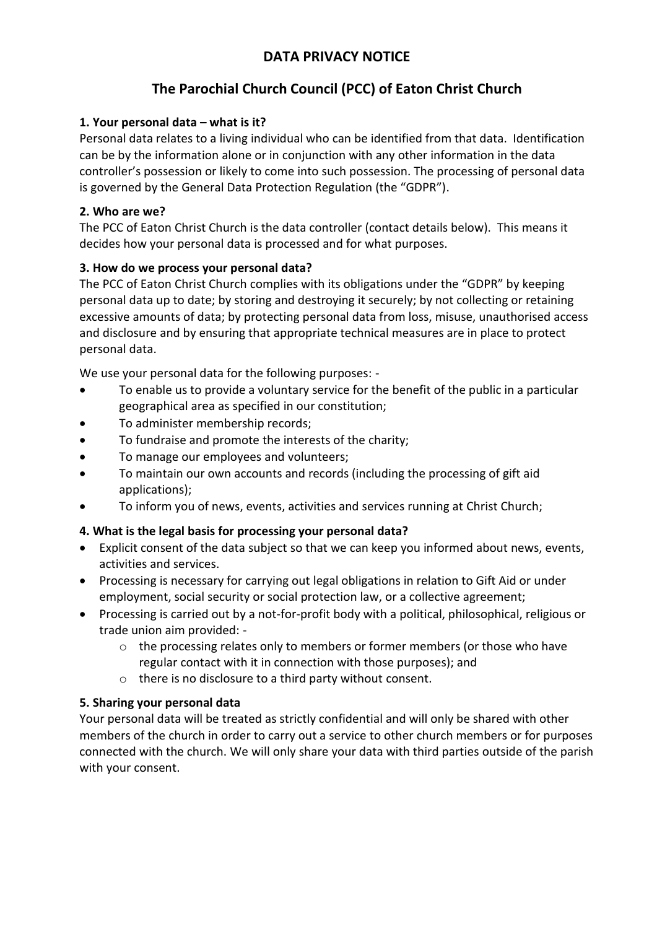# **DATA PRIVACY NOTICE**

# **The Parochial Church Council (PCC) of Eaton Christ Church**

## **1. Your personal data – what is it?**

Personal data relates to a living individual who can be identified from that data. Identification can be by the information alone or in conjunction with any other information in the data controller's possession or likely to come into such possession. The processing of personal data is governed by the General Data Protection Regulation (the "GDPR").

## **2. Who are we?**

The PCC of Eaton Christ Church is the data controller (contact details below). This means it decides how your personal data is processed and for what purposes.

## **3. How do we process your personal data?**

The PCC of Eaton Christ Church complies with its obligations under the "GDPR" by keeping personal data up to date; by storing and destroying it securely; by not collecting or retaining excessive amounts of data; by protecting personal data from loss, misuse, unauthorised access and disclosure and by ensuring that appropriate technical measures are in place to protect personal data.

We use your personal data for the following purposes: -

- To enable us to provide a voluntary service for the benefit of the public in a particular geographical area as specified in our constitution;
- To administer membership records;
- To fundraise and promote the interests of the charity;
- To manage our employees and volunteers;
- To maintain our own accounts and records (including the processing of gift aid applications);
- To inform you of news, events, activities and services running at Christ Church;

### **4. What is the legal basis for processing your personal data?**

- Explicit consent of the data subject so that we can keep you informed about news, events, activities and services.
- Processing is necessary for carrying out legal obligations in relation to Gift Aid or under employment, social security or social protection law, or a collective agreement;
- Processing is carried out by a not-for-profit body with a political, philosophical, religious or trade union aim provided: -
	- $\circ$  the processing relates only to members or former members (or those who have regular contact with it in connection with those purposes); and
	- o there is no disclosure to a third party without consent.

# **5. Sharing your personal data**

Your personal data will be treated as strictly confidential and will only be shared with other members of the church in order to carry out a service to other church members or for purposes connected with the church. We will only share your data with third parties outside of the parish with your consent.